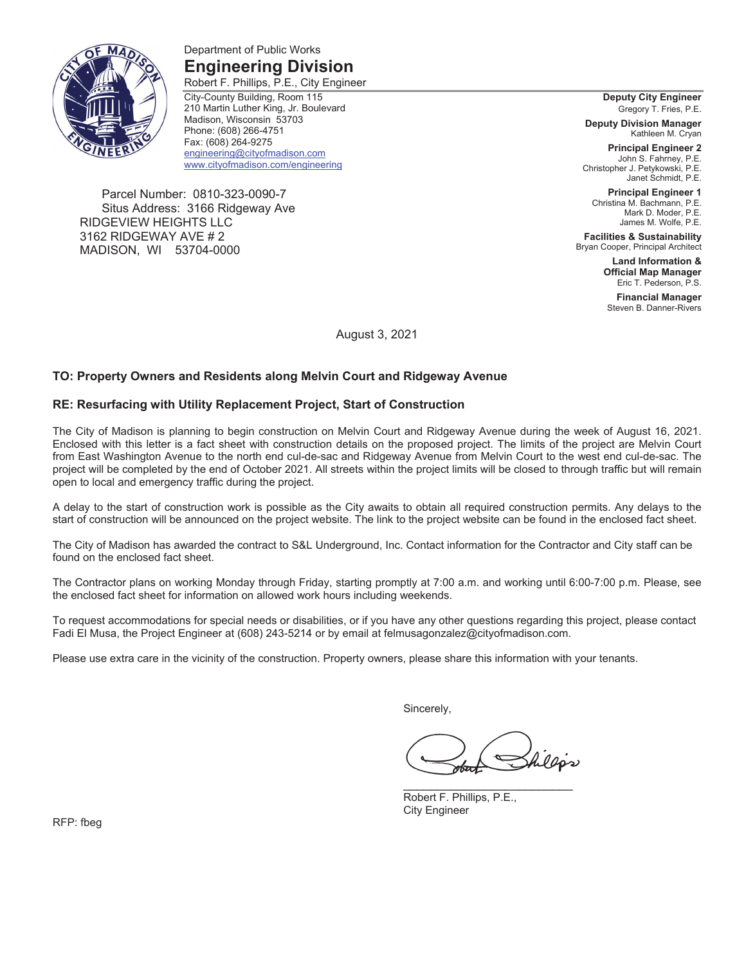

Department of Public Works **Engineering Division** 

Robert F. Phillips, P.E., City Engineer City-County Building, Room 115 210 Martin Luther King, Jr. Boulevard Madison, Wisconsin 53703 Phone: (608) 266-4751 Fax: (608) 264-9275 engineering@cityofmadison.com www.cityofmadison.com/engineering

Parcel Number: 0810-323-0090-7 Situs Address: 3166 Ridgeway Ave RIDGEVIEW HEIGHTS LLC 3162 RIDGEWAY AVE # 2 MADISON, WI 53704-0000

**Deputy City Engineer**  Gregory T. Fries, P.E.

**Deputy Division Manager**  Kathleen M. Cryan

**Principal Engineer 2**  John S. Fahrney, P.E. Christopher J. Petykowski, P.E. Janet Schmidt, P.E.

**Principal Engineer 1**  Christina M. Bachmann, P.E. Mark D. Moder, P.E. James M. Wolfe, P.E.

**Facilities & Sustainability**  Bryan Cooper, Principal Architect

> **Land Information & Official Map Manager**  Eric T. Pederson, P.S.

**Financial Manager**  Steven B. Danner-Rivers

August 3, 2021

### **TO: Property Owners and Residents along Melvin Court and Ridgeway Avenue**

#### **RE: Resurfacing with Utility Replacement Project, Start of Construction**

The City of Madison is planning to begin construction on Melvin Court and Ridgeway Avenue during the week of August 16, 2021. Enclosed with this letter is a fact sheet with construction details on the proposed project. The limits of the project are Melvin Court from East Washington Avenue to the north end cul-de-sac and Ridgeway Avenue from Melvin Court to the west end cul-de-sac. The project will be completed by the end of October 2021. All streets within the project limits will be closed to through traffic but will remain open to local and emergency traffic during the project.

A delay to the start of construction work is possible as the City awaits to obtain all required construction permits. Any delays to the start of construction will be announced on the project website. The link to the project website can be found in the enclosed fact sheet.

The City of Madison has awarded the contract to S&L Underground, Inc. Contact information for the Contractor and City staff can be found on the enclosed fact sheet.

The Contractor plans on working Monday through Friday, starting promptly at 7:00 a.m. and working until 6:00-7:00 p.m. Please, see the enclosed fact sheet for information on allowed work hours including weekends.

To request accommodations for special needs or disabilities, or if you have any other questions regarding this project, please contact Fadi El Musa, the Project Engineer at (608) 243-5214 or by email at felmusagonzalez@cityofmadison.com.

Please use extra care in the vicinity of the construction. Property owners, please share this information with your tenants.

Sincerely,

hillós

Robert F. Phillips, P.E., City Engineer

RFP: fbeg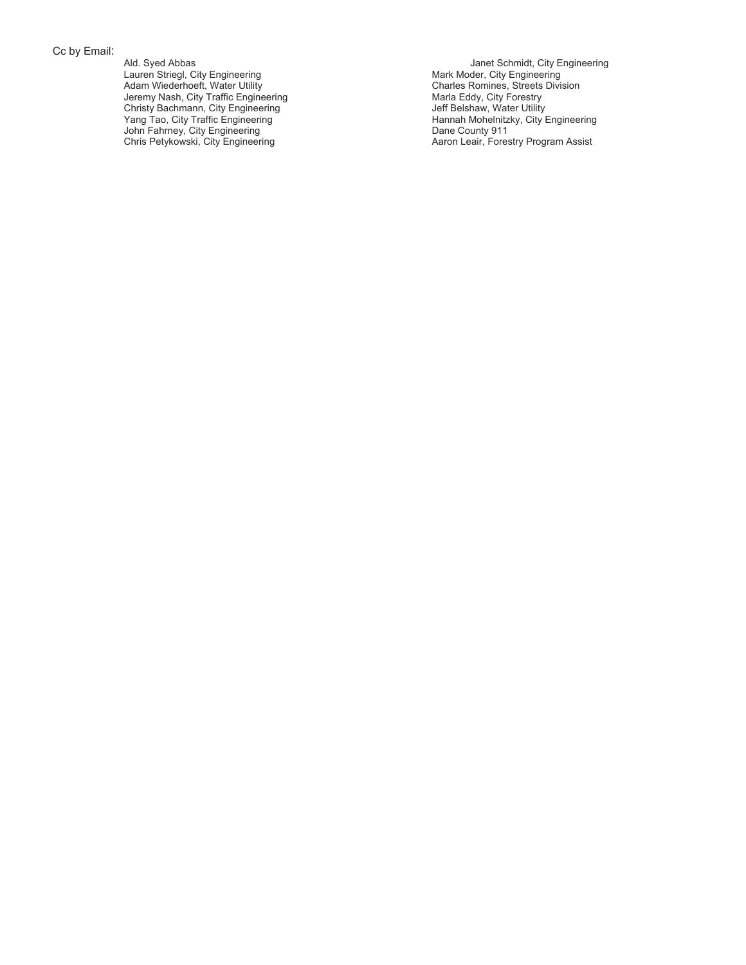Cc by Email:

Ald. Syed Abbas Lauren Striegl, City Engineering Adam Wiederhoeft, Water Utility Jeremy Nash, City Traffic Engineering Christy Bachmann, City Engineering Yang Tao, City Traffic Engineering John Fahrney, City Engineering Chris Petykowski, City Engineering

Janet Schmidt, City Engineering Mark Moder, City Engineering Charles Romines, Streets Division Marla Eddy, City Forestry Jeff Belshaw, Water Utility Hannah Mohelnitzky, City Engineering Dane County 911 Aaron Leair, Forestry Program Assist